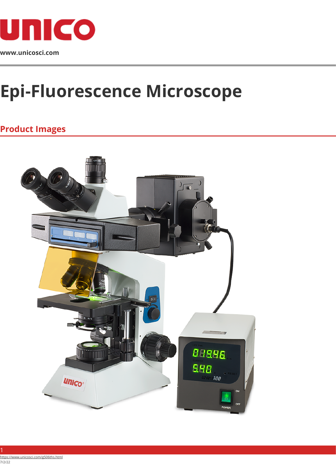

## **Epi-Fluorescence Microscope**

## **Product Images**

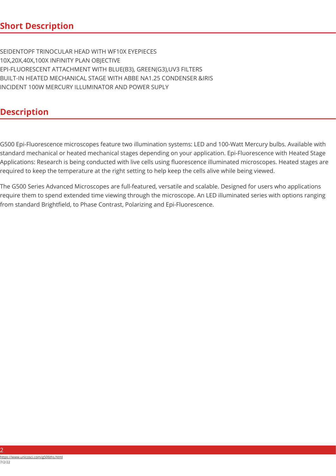1. SEIDENTOPF TRINOCULAR HEAD WITH WF10X EYEPIECES 2. 10X,20X,40X,100X INFINITY PLAN OBJECTIVE 3. EPI-FLUORESCENT ATTACHMENT WITH BLUE(B3), GREEN(G3),UV3 FILTERS 4. BUILT-IN HEATED MECHANICAL STAGE WITH ABBE NA1.25 CONDENSER &IRIS INCIDENT 100W MERCURY ILLUMINATOR AND POWER SUPLY

## **Description**

G500 Epi-Fluorescence microscopes feature two illumination systems: LED and 100-Watt Mercury bulbs. Available with standard mechanical or heated mechanical stages depending on your application. Epi-Fluorescence with Heated Stage Applications: Research is being conducted with live cells using fluorescence illuminated microscopes. Heated stages are required to keep the temperature at the right setting to help keep the cells alive while being viewed.

The G500 Series Advanced Microscopes are full-featured, versatile and scalable. Designed for users who applications require them to spend extended time viewing through the microscope. An LED illuminated series with options ranging from standard Brightfield, to Phase Contrast, Polarizing and Epi-Fluorescence.

つ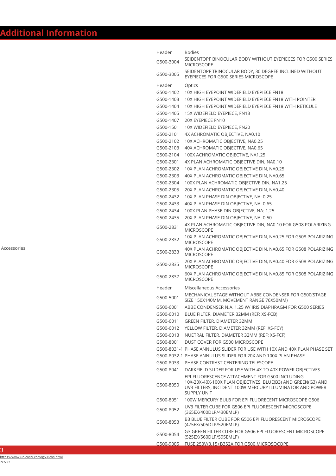| Header    | <b>Bodies</b>                                                                                                                                                                                    |
|-----------|--------------------------------------------------------------------------------------------------------------------------------------------------------------------------------------------------|
| G500-3004 | SEIDENTOPF BINOCULAR BODY WITHOUT EYEPIECES FOR G500 SERIES<br><b>MICROSCOPE</b>                                                                                                                 |
| G500-3005 | SEIDENTOPF TRINOCULAR BODY, 30 DEGREE INCLINED WITHOUT<br>EYEPIECES FOR G500 SERIES MICROSCOPE                                                                                                   |
| Header    | Optics                                                                                                                                                                                           |
| G500-1402 | 10X HIGH EYEPOINT WIDEFIELD EYEPIECE FN18                                                                                                                                                        |
| G500-1403 | 10X HIGH EYEPOINT WIDEFIELD EYEPIECE FN18 WITH POINTER                                                                                                                                           |
| G500-1404 | 10X HIGH EYEPOINT WIDEFIELD EYEPIECE FN18 WITH RETICULE                                                                                                                                          |
| G500-1405 | 15X WIDEFIELD EYEPIECE, FN13                                                                                                                                                                     |
| G500-1407 | 20X EYEPIECE FN10                                                                                                                                                                                |
| G500-1501 | 10X WIDEFIELD EYEPIECE, FN20                                                                                                                                                                     |
| G500-2101 | 4X ACHROMATIC OBJECTIVE, NA0.10                                                                                                                                                                  |
| G500-2102 | 10X ACHROMATIC OBJECTIVE, NA0.25                                                                                                                                                                 |
| G500-2103 | 40X ACHROMATIC OBJECTIVE, NA0.65                                                                                                                                                                 |
| G500-2104 | 100X ACHROMATIC OBJECTIVE, NA1.25                                                                                                                                                                |
| G500-2301 | 4X PLAN ACHROMATIC OBJECTIVE DIN, NA0.10                                                                                                                                                         |
| G500-2302 | 10X PLAN ACHROMATIC OBJECTIVE DIN, NA0.25                                                                                                                                                        |
| G500-2303 | 40X PLAN ACHROMATIC OBJECTIVE DIN, NA0.65                                                                                                                                                        |
| G500-2304 | 100X PLAN ACHROMATIC OBJECTIVE DIN, NA1.25                                                                                                                                                       |
| G500-2305 | 20X PLAN ACHROMATIC OBJECTIVE DIN, NA0.40                                                                                                                                                        |
| G500-2432 | 10X PLAN PHASE DIN OBJECTIVE, NA: 0.25                                                                                                                                                           |
| G500-2433 | 40X PLAN PHASE DIN OBJECTIVE, NA: 0.65                                                                                                                                                           |
| G500-2434 | 100X PLAN PHASE DIN OBJECTIVE, NA: 1.25                                                                                                                                                          |
| G500-2435 | 20X PLAN PHASE DIN OBJECTIVE, NA: 0.50                                                                                                                                                           |
| G500-2831 | 4X PLAN ACHROMATIC OBJECTIVE DIN, NA0.10 FOR G508 POLARIZING<br><b>MICROSCOPE</b>                                                                                                                |
| G500-2832 | 10X PLAN ACHROMATIC OBJECTIVE DIN, NA0.25 FOR G508 POLARIZING<br><b>MICROSCOPE</b>                                                                                                               |
| G500-2833 | 40X PLAN ACHROMATIC OBJECTIVE DIN, NA0.65 FOR G508 POLARIZING<br><b>MICROSCOPE</b>                                                                                                               |
| G500-2835 | 20X PLAN ACHROMATIC OBJECTIVE DIN, NA0.40 FOR G508 POLARIZING<br><b>MICROSCOPE</b>                                                                                                               |
| G500-2837 | 60X PLAN ACHROMATIC OBJECTIVE DIN, NA0.85 FOR G508 POLARIZING<br><b>MICROSCOPE</b>                                                                                                               |
| Header    | Miscellaneous Accessories                                                                                                                                                                        |
| G500-5001 | MECHANICAL STAGE WITHOUT ABBE CONDENSER FOR G500(STAGE<br>SIZE 150X140MM, MOVEMENT RANGE 76X50MM)                                                                                                |
| G500-6001 | ABBE CONDENSER N.A. 1.25 W/ IRIS DIAPHRAGM FOR G500 SERIES                                                                                                                                       |
| G500-6010 | BLUE FILTER, DIAMETER 32MM (REF: XS-FCB)                                                                                                                                                         |
| G500-6011 | GREEN FILTER, DIAMETER 32MM                                                                                                                                                                      |
| G500-6012 | YELLOW FILTER, DIAMETER 32MM (REF: XS-FCY)                                                                                                                                                       |
| G500-6013 | NUETRAL FILTER, DIAMETER 32MM (REF: XS-FCF)                                                                                                                                                      |
| G500-8001 | DUST COVER FOR G500 MICROSCOPE                                                                                                                                                                   |
|           | G500-8031-1 PHASE ANNULUS SLIDER FOR USE WITH 10X AND 40X PLAN PHASE SET                                                                                                                         |
|           | G500-8032-1 PHASE ANNULUS SLIDER FOR 20X AND 100X PLAN PHASE                                                                                                                                     |
| G500-8033 | PHASE CONTRAST CENTERING TELESCOPE                                                                                                                                                               |
| G500-8041 | DARKFIELD SLIDER FOR USE WITH 4X TO 40X POWER OBJECTIVES                                                                                                                                         |
| G500-8050 | EPI-FLUORESCENCE ATTACHMENT FOR G500 INCLUDING<br>10X-20X-40X-100X PLAN OBJECTIVES, BLUE(B3) AND GREEN(G3) AND<br>UV3 FILTERS, INCIDENT 100W MERCURY ILLUMINATOR AND POWER<br><b>SUPPLY UNIT</b> |
| G500-8051 | 100W MERCURY BULB FOR EPI FLUORECENT MICROSCOPE G506                                                                                                                                             |
| G500-8052 | UV3 FILTER CUBE FOR G506 EPI FLUORESCENT MICROSCOPE<br>(365EX/400DLP/430EMLP)                                                                                                                    |
| G500-8053 | B3 BLUE FILTER CUBE FOR G506 EPI FLUORESCENT MICROSCOPE<br>(475EX/505DLP/520EMLP)                                                                                                                |
| G500-8054 | G3 GREEN FILTER CUBE FOR G506 EPI FLUORESCENT MICROSCOPE<br>(525EX/560DLP/595EMLP)                                                                                                               |
|           | G500-9005    FUSE 250V/3.15+B352A FOR G500 MICROSOCOPE                                                                                                                                           |

3